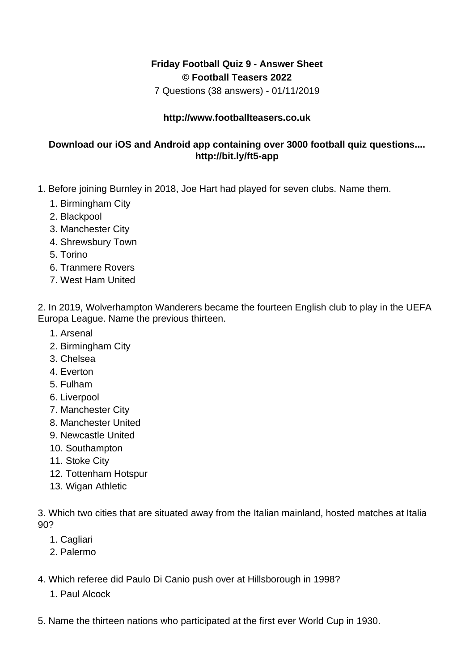## **Friday Football Quiz 9 - Answer Sheet © Football Teasers 2022**

7 Questions (38 answers) - 01/11/2019

## **http://www.footballteasers.co.uk**

## **Download our iOS and Android app containing over 3000 football quiz questions.... http://bit.ly/ft5-app**

- 1. Before joining Burnley in 2018, Joe Hart had played for seven clubs. Name them.
	- 1. Birmingham City
	- 2. Blackpool
	- 3. Manchester City
	- 4. Shrewsbury Town
	- 5. Torino
	- 6. Tranmere Rovers
	- 7. West Ham United

2. In 2019, Wolverhampton Wanderers became the fourteen English club to play in the UEFA Europa League. Name the previous thirteen.

- 1. Arsenal
- 2. Birmingham City
- 3. Chelsea
- 4. Everton
- 5. Fulham
- 6. Liverpool
- 7. Manchester City
- 8. Manchester United
- 9. Newcastle United
- 10. Southampton
- 11. Stoke City
- 12. Tottenham Hotspur
- 13. Wigan Athletic

3. Which two cities that are situated away from the Italian mainland, hosted matches at Italia 90?

- 1. Cagliari
- 2. Palermo
- 4. Which referee did Paulo Di Canio push over at Hillsborough in 1998?
	- 1. Paul Alcock
- 5. Name the thirteen nations who participated at the first ever World Cup in 1930.